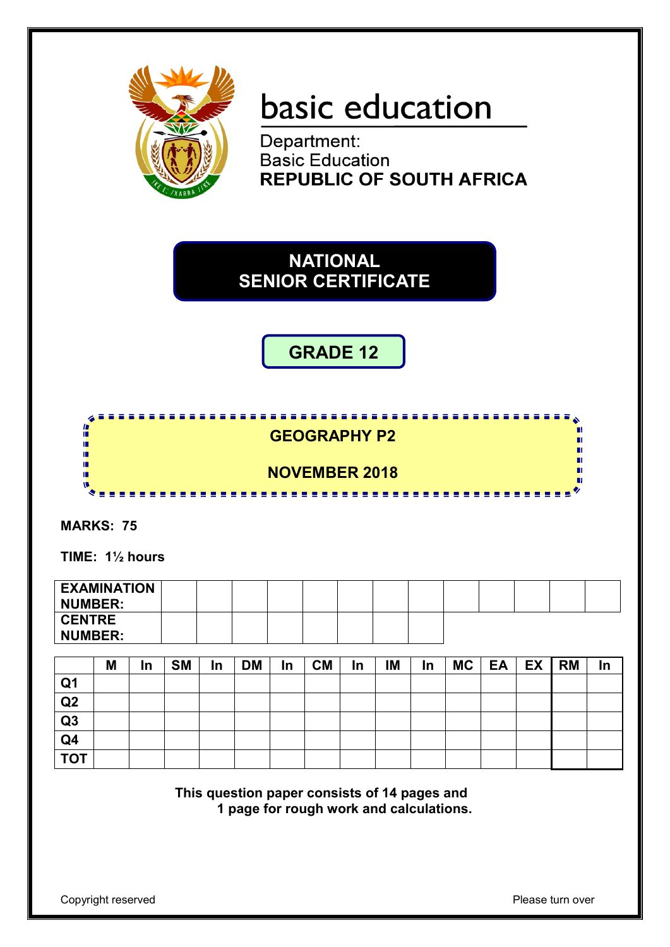

# basic education

Department: **Basic Education REPUBLIC OF SOUTH AFRICA** 

**NATIONAL SENIOR CERTIFICATE**

**GRADE 12**



**MARKS: 75**

**TIME: 1½ hours** 

| <b>EXAMINATION</b><br>NUMBER:   |  |  |  |  |  |  |  |
|---------------------------------|--|--|--|--|--|--|--|
| <b>CENTRE</b><br><b>NUMBER:</b> |  |  |  |  |  |  |  |

|                | M | In | <b>SM</b> | In | <b>DM</b> | In | <b>CM</b> | In | IM | In | <b>MC</b> | EA | EX | <b>RM</b> | <u>In</u> |
|----------------|---|----|-----------|----|-----------|----|-----------|----|----|----|-----------|----|----|-----------|-----------|
| Q <sub>1</sub> |   |    |           |    |           |    |           |    |    |    |           |    |    |           |           |
| Q2             |   |    |           |    |           |    |           |    |    |    |           |    |    |           |           |
| Q3             |   |    |           |    |           |    |           |    |    |    |           |    |    |           |           |
| Q4             |   |    |           |    |           |    |           |    |    |    |           |    |    |           |           |
| <b>TOT</b>     |   |    |           |    |           |    |           |    |    |    |           |    |    |           |           |

**This question paper consists of 14 pages and 1 page for rough work and calculations.**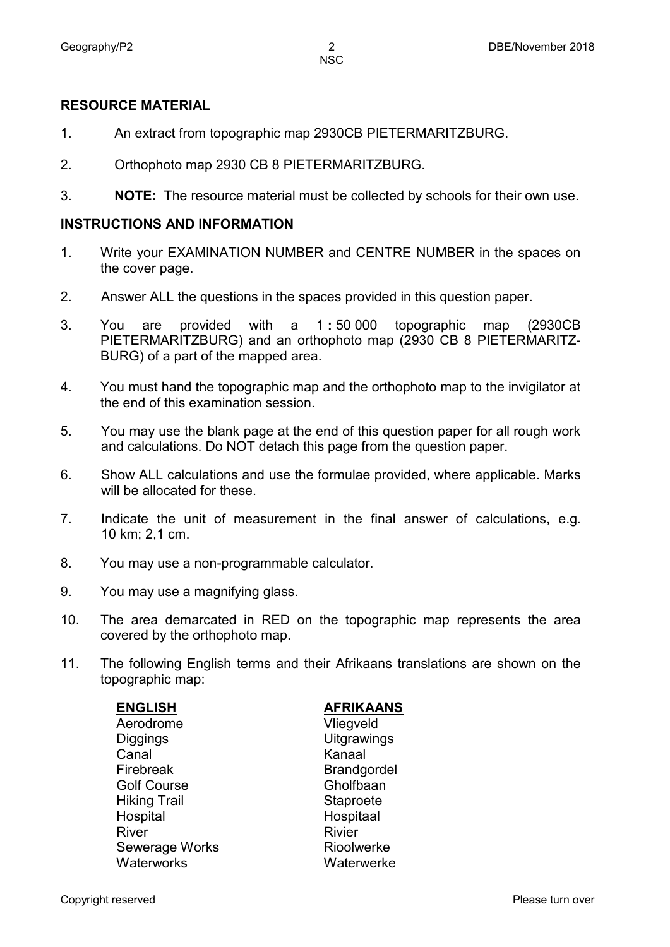#### **RESOURCE MATERIAL**

- 1. An extract from topographic map 2930CB PIETERMARITZBURG.
- 2. Orthophoto map 2930 CB 8 PIETERMARITZBURG.
- 3. **NOTE:** The resource material must be collected by schools for their own use.

#### **INSTRUCTIONS AND INFORMATION**

- 1. Write your EXAMINATION NUMBER and CENTRE NUMBER in the spaces on the cover page.
- 2. Answer ALL the questions in the spaces provided in this question paper.
- 3. You are provided with a 1 **:** 50 000 topographic map (2930CB PIETERMARITZBURG) and an orthophoto map (2930 CB 8 PIETERMARITZ-BURG) of a part of the mapped area.
- 4. You must hand the topographic map and the orthophoto map to the invigilator at the end of this examination session.
- 5. You may use the blank page at the end of this question paper for all rough work and calculations. Do NOT detach this page from the question paper.
- 6. Show ALL calculations and use the formulae provided, where applicable. Marks will be allocated for these.
- 7. Indicate the unit of measurement in the final answer of calculations, e.g. 10 km; 2,1 cm.
- 8. You may use a non-programmable calculator.
- 9. You may use a magnifying glass.
- 10. The area demarcated in RED on the topographic map represents the area covered by the orthophoto map.
- 11. The following English terms and their Afrikaans translations are shown on the topographic map:

| <b>ENGLISH</b>      | <b>AFRIKAANS</b>   |
|---------------------|--------------------|
| Aerodrome           | Vliegveld          |
| <b>Diggings</b>     | Uitgrawings        |
| Canal               | Kanaal             |
| Firebreak           | <b>Brandgordel</b> |
| <b>Golf Course</b>  | Gholfbaan          |
| <b>Hiking Trail</b> | Staproete          |
| Hospital            | Hospitaal          |
| <b>River</b>        | <b>Rivier</b>      |
| Sewerage Works      | Rioolwerke         |
| <b>Waterworks</b>   | Waterwerke         |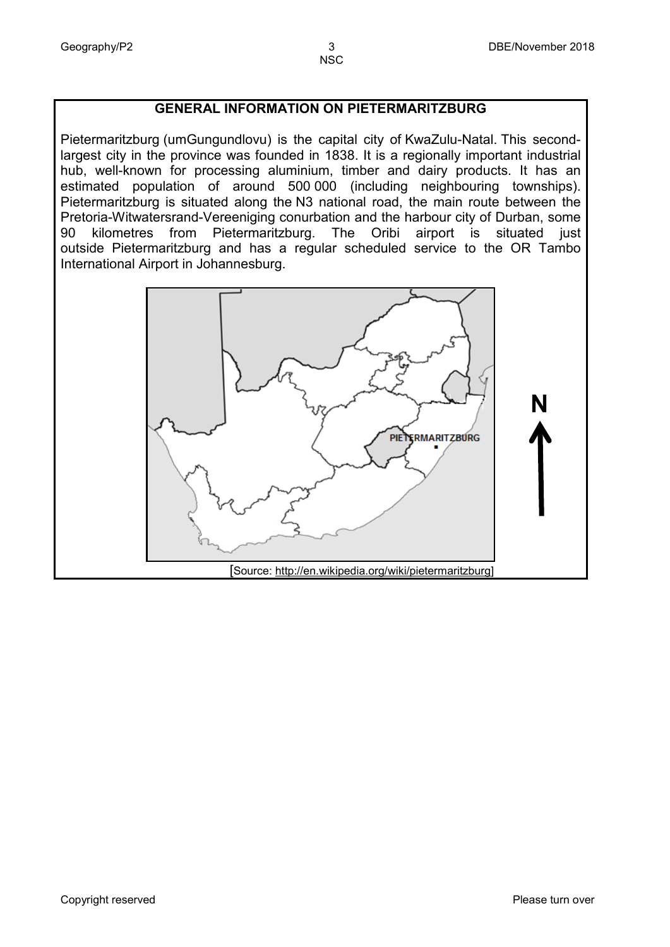### **GENERAL INFORMATION ON PIETERMARITZBURG**

Pietermaritzburg (umGungundlovu) is the capital city of [KwaZulu-Natal.](https://en.wikipedia.org/wiki/KwaZulu-Natal) This secondlargest city in the province was founded in 1838. It is a regionally important industrial hub, well-known for processing aluminium, timber and dairy products. It has an estimated population of around 500 000 (including neighbouring townships). Pietermaritzburg is situated along the [N3 national road,](https://en.wikipedia.org/wiki/N3_road_(South_Africa)) the main route between the Pretoria-Witwatersrand-Vereeniging conurbation and the harbour city of Durban, some<br>90 kilometres from Pietermaritzburg. The Oribi airport is situated just from Pietermaritzburg. The Oribi airport is situated just outside [Pietermaritzburg a](https://en.wikipedia.org/wiki/Pietermaritzburg_Airport)nd has a regular scheduled service to the [OR Tambo](https://en.wikipedia.org/wiki/OR_Tambo_International_Airport)  [International Airport](https://en.wikipedia.org/wiki/OR_Tambo_International_Airport) in Johannesburg.

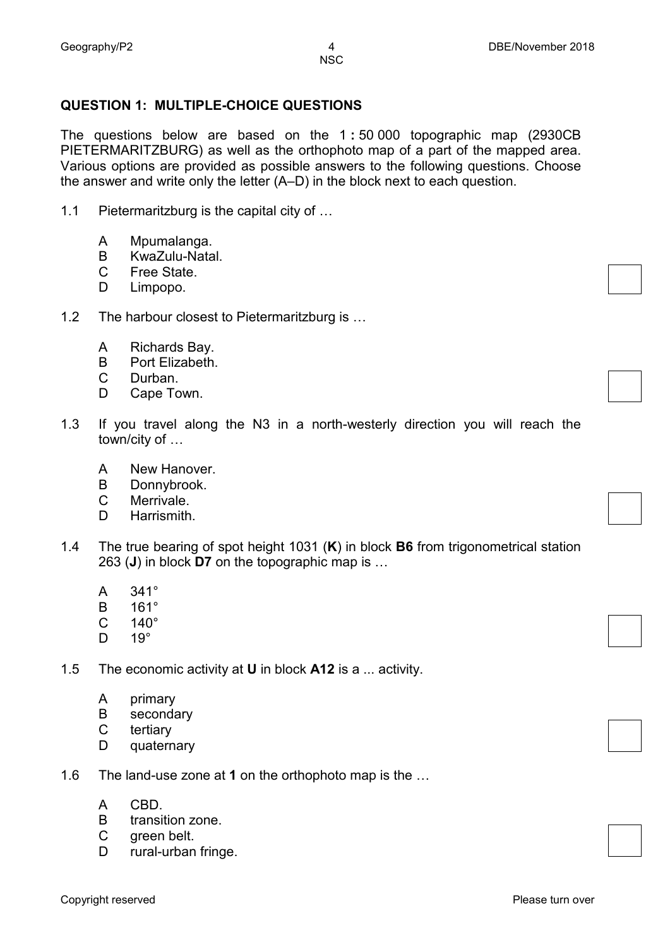#### **QUESTION 1: MULTIPLE-CHOICE QUESTIONS**

The questions below are based on the 1 **:** 50 000 topographic map (2930CB PIETERMARITZBURG) as well as the orthophoto map of a part of the mapped area. Various options are provided as possible answers to the following questions. Choose the answer and write only the letter (A–D) in the block next to each question.

- 1.1 Pietermaritzburg is the capital city of …
	- A Mpumalanga.
	- B KwaZulu-Natal.
	- $\mathcal{C}$ Free State.
	- D. Limpopo.
- 1.2 The harbour closest to Pietermaritzburg is ...
	- A Richards Bay.
	- B Port Elizabeth.
	- $\mathcal{C}$ Durban.
	- D. Cape Town.
- 1.3 If you travel along the N3 in a north-westerly direction you will reach the town/city of …
	- A New Hanover.
	- B Donnybrook.
	- C Merrivale.
	- D. **Harrismith**
- 1.4 The true bearing of spot height 1031 (**K**) in block **B6** from trigonometrical station 263 (**J**) in block **D7** on the topographic map is …
	- A 341°
	- B 161°
	- $\mathbf{C}$ 140°
	- D.  $19^{\circ}$
- 1.5 The economic activity at **U** in block **A12** is a ... activity.
	- A primary
	- B secondary
	- C tertiary
	- D quaternary
- 1.6 The land-use zone at **1** on the orthophoto map is the …
	- A CBD.
	- B transition zone.
	- C green belt.
	- D. rural-urban fringe.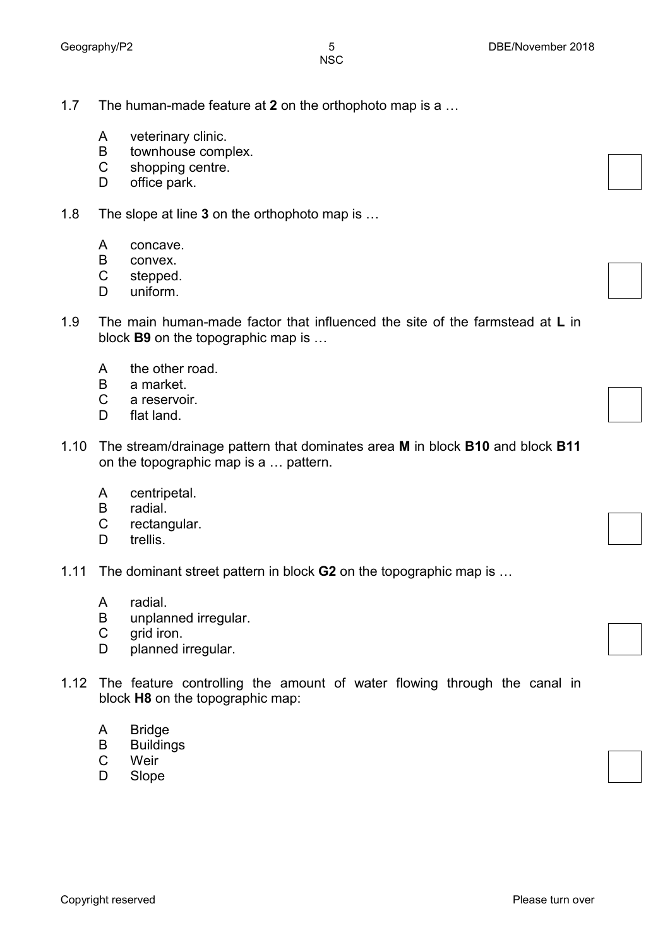- 1.7 The human-made feature at **2** on the orthophoto map is a …
	- A veterinary clinic.
	- B townhouse complex.
	- C shopping centre.
	- D. office park.
- 1.8 The slope at line **3** on the orthophoto map is …
	- A concave.
	- B convex.
	- C stepped.
	- D uniform.
- 1.9 The main human-made factor that influenced the site of the farmstead at **L** in block **B9** on the topographic map is …
	- A the other road.
	- B a market.
	- C a reservoir.
	- D. flat land.
- 1.10 The stream/drainage pattern that dominates area **M** in block **B10** and block **B11** on the topographic map is a … pattern.
	- A centripetal.
	- B radial.
	- C rectangular.
	- D. trellis.
- 1.11 The dominant street pattern in block **G2** on the topographic map is …
	- A radial.
	- B unplanned irregular.
	- C grid iron.
	- D. planned irregular.
- 1.12 The feature controlling the amount of water flowing through the canal in block **H8** on the topographic map:
	- A Bridge
	- B Buildings
	- C Weir
	- D Slope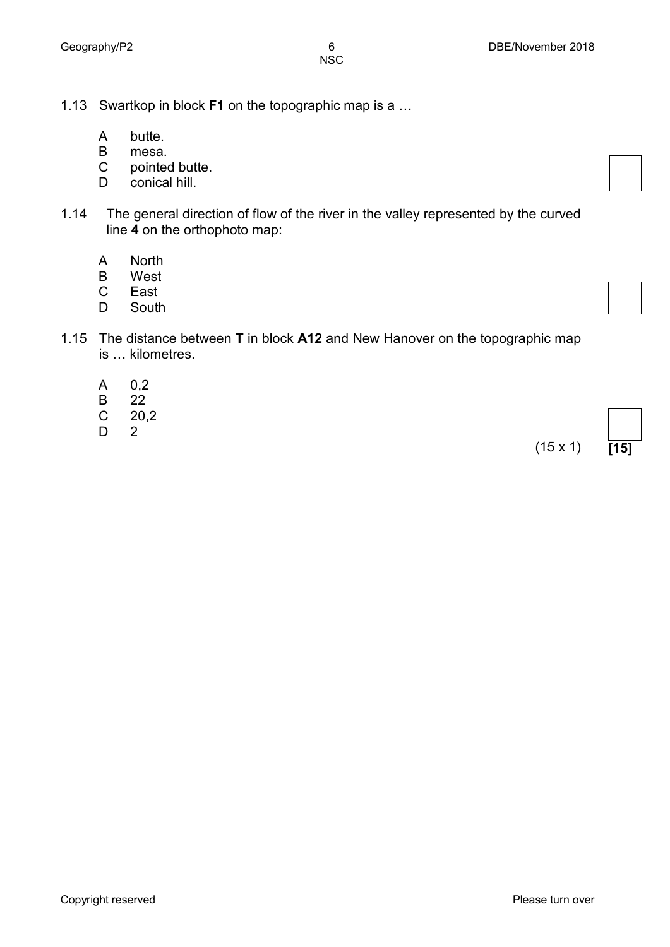- 1.13 Swartkop in block **F1** on the topographic map is a …
	- A butte.
	- B mesa.
	- C pointed butte.
	- D. conical hill.
- 1.14 The general direction of flow of the river in the valley represented by the curved line **4** on the orthophoto map:
	- A North
	- B West
	- C East
	- D South
- 1.15 The distance between **T** in block **A12** and New Hanover on the topographic map is … kilometres.
	- A 0,2
	- B 22
	- C 20,2
	- D 2

(15 x 1) **[15]**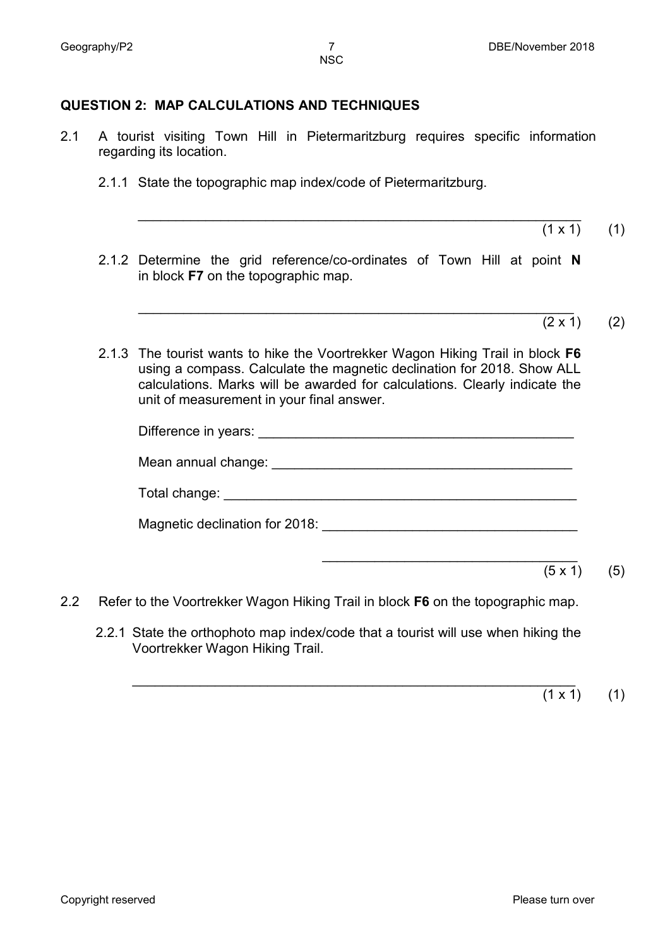#### **QUESTION 2: MAP CALCULATIONS AND TECHNIQUES**

- 2.1 A tourist visiting Town Hill in Pietermaritzburg requires specific information regarding its location.
	- 2.1.1 State the topographic map index/code of Pietermaritzburg.
		- $(1 \times 1)$   $(1)$
	- 2.1.2 Determine the grid reference/co-ordinates of Town Hill at point **N** in block **F7** on the topographic map.

\_\_\_\_\_\_\_\_\_\_\_\_\_\_\_\_\_\_\_\_\_\_\_\_\_\_\_\_\_\_\_\_\_\_\_\_\_\_\_\_\_\_\_\_\_\_\_\_\_\_\_\_\_\_\_\_\_\_\_

- \_\_\_\_\_\_\_\_\_\_\_\_\_\_\_\_\_\_\_\_\_\_\_\_\_\_\_\_\_\_\_\_\_\_\_\_\_\_\_\_\_\_\_\_\_\_\_\_\_\_\_\_\_\_\_\_\_\_  $(2 \times 1)$  (2)
- 2.1.3 The tourist wants to hike the Voortrekker Wagon Hiking Trail in block **F6**  using a compass. Calculate the magnetic declination for 2018. Show ALL calculations. Marks will be awarded for calculations. Clearly indicate the unit of measurement in your final answer.

| Mean annual change: example and annual change: |                |     |
|------------------------------------------------|----------------|-----|
|                                                |                |     |
| Magnetic declination for 2018:                 |                |     |
|                                                | $(5 \times 1)$ | (5) |
|                                                |                |     |

- 2.2 Refer to the Voortrekker Wagon Hiking Trail in block **F6** on the topographic map.
	- 2.2.1 State the orthophoto map index/code that a tourist will use when hiking the Voortrekker Wagon Hiking Trail.

\_\_\_\_\_\_\_\_\_\_\_\_\_\_\_\_\_\_\_\_\_\_\_\_\_\_\_\_\_\_\_\_\_\_\_\_\_\_\_\_\_\_\_\_\_\_\_\_\_\_\_\_\_\_\_\_\_\_\_  $(1 \times 1)$  (1)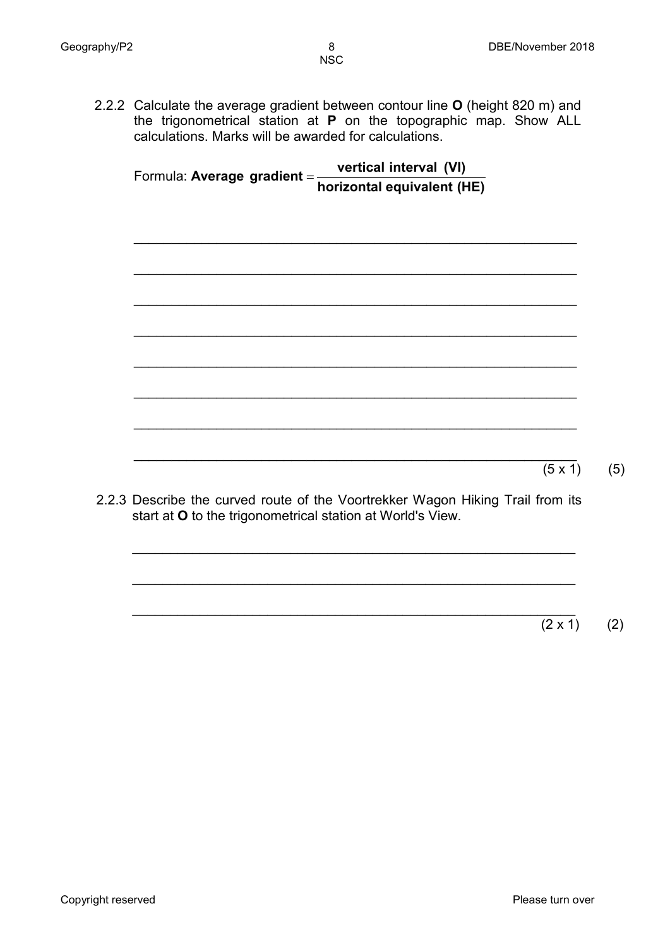2.2.2 Calculate the average gradient between contour line **O** (height 820 m) and the trigonometrical station at **P** on the topographic map. Show ALL calculations. Marks will be awarded for calculations.

Formula: **Average horizontal equivalent (HE) vertical interval (VI) gradient** <sup>=</sup> \_\_\_\_\_\_\_\_\_\_\_\_\_\_\_\_\_\_\_\_\_\_\_\_\_\_\_\_\_\_\_\_\_\_\_\_\_\_\_\_\_\_\_\_\_\_\_\_\_\_\_\_\_\_\_\_\_\_\_ \_\_\_\_\_\_\_\_\_\_\_\_\_\_\_\_\_\_\_\_\_\_\_\_\_\_\_\_\_\_\_\_\_\_\_\_\_\_\_\_\_\_\_\_\_\_\_\_\_\_\_\_\_\_\_\_\_\_\_ \_\_\_\_\_\_\_\_\_\_\_\_\_\_\_\_\_\_\_\_\_\_\_\_\_\_\_\_\_\_\_\_\_\_\_\_\_\_\_\_\_\_\_\_\_\_\_\_\_\_\_\_\_\_\_\_\_\_\_ \_\_\_\_\_\_\_\_\_\_\_\_\_\_\_\_\_\_\_\_\_\_\_\_\_\_\_\_\_\_\_\_\_\_\_\_\_\_\_\_\_\_\_\_\_\_\_\_\_\_\_\_\_\_\_\_\_\_\_ \_\_\_\_\_\_\_\_\_\_\_\_\_\_\_\_\_\_\_\_\_\_\_\_\_\_\_\_\_\_\_\_\_\_\_\_\_\_\_\_\_\_\_\_\_\_\_\_\_\_\_\_\_\_\_\_\_\_\_ \_\_\_\_\_\_\_\_\_\_\_\_\_\_\_\_\_\_\_\_\_\_\_\_\_\_\_\_\_\_\_\_\_\_\_\_\_\_\_\_\_\_\_\_\_\_\_\_\_\_\_\_\_\_\_\_\_\_\_ \_\_\_\_\_\_\_\_\_\_\_\_\_\_\_\_\_\_\_\_\_\_\_\_\_\_\_\_\_\_\_\_\_\_\_\_\_\_\_\_\_\_\_\_\_\_\_\_\_\_\_\_\_\_\_\_\_\_\_ \_\_\_\_\_\_\_\_\_\_\_\_\_\_\_\_\_\_\_\_\_\_\_\_\_\_\_\_\_\_\_\_\_\_\_\_\_\_\_\_\_\_\_\_\_\_\_\_\_\_\_\_\_\_\_\_\_\_\_  $(5 \times 1)$  (5) 2.2.3 Describe the curved route of the Voortrekker Wagon Hiking Trail from its start at **O** to the trigonometrical station at World's View.

\_\_\_\_\_\_\_\_\_\_\_\_\_\_\_\_\_\_\_\_\_\_\_\_\_\_\_\_\_\_\_\_\_\_\_\_\_\_\_\_\_\_\_\_\_\_\_\_\_\_\_\_\_\_\_\_\_\_\_

\_\_\_\_\_\_\_\_\_\_\_\_\_\_\_\_\_\_\_\_\_\_\_\_\_\_\_\_\_\_\_\_\_\_\_\_\_\_\_\_\_\_\_\_\_\_\_\_\_\_\_\_\_\_\_\_\_\_\_

\_\_\_\_\_\_\_\_\_\_\_\_\_\_\_\_\_\_\_\_\_\_\_\_\_\_\_\_\_\_\_\_\_\_\_\_\_\_\_\_\_\_\_\_\_\_\_\_\_\_\_\_\_\_\_\_\_\_\_  $(2 \times 1)$  (2)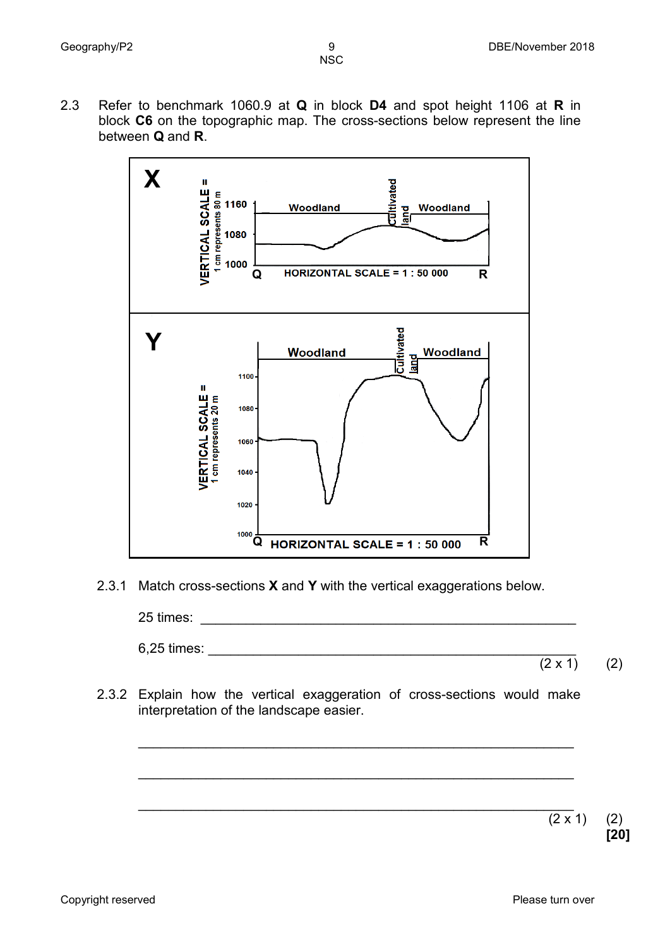2.3 Refer to benchmark 1060.9 at **Q** in block **D4** and spot height 1106 at **R** in block **C6** on the topographic map. The cross-sections below represent the line between **Q** and **R**.



2.3.1 Match cross-sections **X** and **Y** with the vertical exaggerations below.

25 times: \_\_\_\_\_\_\_\_\_\_\_\_\_\_\_\_\_\_\_\_\_\_\_\_\_\_\_\_\_\_\_\_\_\_\_\_\_\_\_\_\_\_\_\_\_\_\_\_\_\_

 $6.25$  times:

- $(2 \times 1)$  (2)
- 2.3.2 Explain how the vertical exaggeration of cross-sections would make interpretation of the landscape easier.

\_\_\_\_\_\_\_\_\_\_\_\_\_\_\_\_\_\_\_\_\_\_\_\_\_\_\_\_\_\_\_\_\_\_\_\_\_\_\_\_\_\_\_\_\_\_\_\_\_\_\_\_\_\_\_\_\_\_

\_\_\_\_\_\_\_\_\_\_\_\_\_\_\_\_\_\_\_\_\_\_\_\_\_\_\_\_\_\_\_\_\_\_\_\_\_\_\_\_\_\_\_\_\_\_\_\_\_\_\_\_\_\_\_\_\_\_

\_\_\_\_\_\_\_\_\_\_\_\_\_\_\_\_\_\_\_\_\_\_\_\_\_\_\_\_\_\_\_\_\_\_\_\_\_\_\_\_\_\_\_\_\_\_\_\_\_\_\_\_\_\_\_\_\_\_

 $(2 \times 1)$  (2)

**[20]**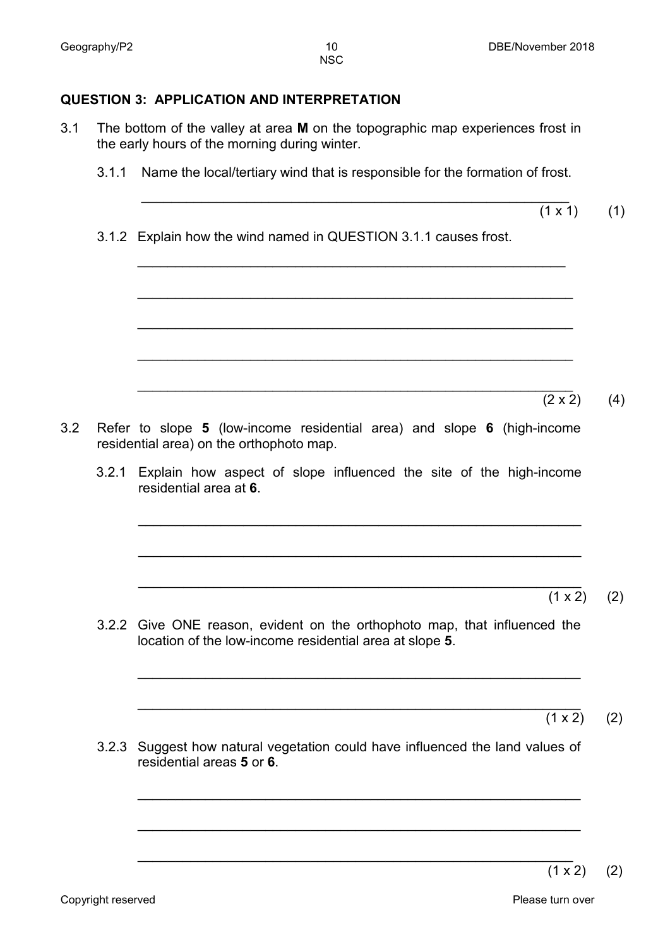#### **QUESTION 3: APPLICATION AND INTERPRETATION**

- 3.1 The bottom of the valley at area **M** on the topographic map experiences frost in the early hours of the morning during winter.
	- 3.1.1 Name the local/tertiary wind that is responsible for the formation of frost.

\_\_\_\_\_\_\_\_\_\_\_\_\_\_\_\_\_\_\_\_\_\_\_\_\_\_\_\_\_\_\_\_\_\_\_\_\_\_\_\_\_\_\_\_\_\_\_\_\_\_\_\_\_\_\_\_\_

\_\_\_\_\_\_\_\_\_\_\_\_\_\_\_\_\_\_\_\_\_\_\_\_\_\_\_\_\_\_\_\_\_\_\_\_\_\_\_\_\_\_\_\_\_\_\_\_\_\_\_\_\_\_\_\_\_\_

\_\_\_\_\_\_\_\_\_\_\_\_\_\_\_\_\_\_\_\_\_\_\_\_\_\_\_\_\_\_\_\_\_\_\_\_\_\_\_\_\_\_\_\_\_\_\_\_\_\_\_\_\_\_\_\_\_\_

\_\_\_\_\_\_\_\_\_\_\_\_\_\_\_\_\_\_\_\_\_\_\_\_\_\_\_\_\_\_\_\_\_\_\_\_\_\_\_\_\_\_\_\_\_\_\_\_\_\_\_\_\_\_\_\_\_\_

- \_\_\_\_\_\_\_\_\_\_\_\_\_\_\_\_\_\_\_\_\_\_\_\_\_\_\_\_\_\_\_\_\_\_\_\_\_\_\_\_\_\_\_\_\_\_\_\_\_\_\_\_\_\_\_\_\_  $(1 \times 1)$ (1)
- 3.1.2 Explain how the wind named in QUESTION 3.1.1 causes frost.

\_\_\_\_\_\_\_\_\_\_\_\_\_\_\_\_\_\_\_\_\_\_\_\_\_\_\_\_\_\_\_\_\_\_\_\_\_\_\_\_\_\_\_\_\_\_\_\_\_\_\_\_\_\_\_\_\_\_ (2 x 2) (4)

- 3.2 Refer to slope **5** (low-income residential area) and slope **6** (high-income residential area) on the orthophoto map.
	- 3.2.1 Explain how aspect of slope influenced the site of the high-income residential area at **6**.

\_\_\_\_\_\_\_\_\_\_\_\_\_\_\_\_\_\_\_\_\_\_\_\_\_\_\_\_\_\_\_\_\_\_\_\_\_\_\_\_\_\_\_\_\_\_\_\_\_\_\_\_\_\_\_\_\_\_\_

\_\_\_\_\_\_\_\_\_\_\_\_\_\_\_\_\_\_\_\_\_\_\_\_\_\_\_\_\_\_\_\_\_\_\_\_\_\_\_\_\_\_\_\_\_\_\_\_\_\_\_\_\_\_\_\_\_\_\_

\_\_\_\_\_\_\_\_\_\_\_\_\_\_\_\_\_\_\_\_\_\_\_\_\_\_\_\_\_\_\_\_\_\_\_\_\_\_\_\_\_\_\_\_\_\_\_\_\_\_\_\_\_\_\_\_\_\_\_

\_\_\_\_\_\_\_\_\_\_\_\_\_\_\_\_\_\_\_\_\_\_\_\_\_\_\_\_\_\_\_\_\_\_\_\_\_\_\_\_\_\_\_\_\_\_\_\_\_\_\_\_\_\_\_\_\_\_\_

\_\_\_\_\_\_\_\_\_\_\_\_\_\_\_\_\_\_\_\_\_\_\_\_\_\_\_\_\_\_\_\_\_\_\_\_\_\_\_\_\_\_\_\_\_\_\_\_\_\_\_\_\_\_\_\_\_\_\_

\_\_\_\_\_\_\_\_\_\_\_\_\_\_\_\_\_\_\_\_\_\_\_\_\_\_\_\_\_\_\_\_\_\_\_\_\_\_\_\_\_\_\_\_\_\_\_\_\_\_\_\_\_\_\_\_\_\_\_

\_\_\_\_\_\_\_\_\_\_\_\_\_\_\_\_\_\_\_\_\_\_\_\_\_\_\_\_\_\_\_\_\_\_\_\_\_\_\_\_\_\_\_\_\_\_\_\_\_\_\_\_\_\_\_\_\_\_

\_\_\_\_\_\_\_\_\_\_\_\_\_\_\_\_\_\_\_\_\_\_\_\_\_\_\_\_\_\_\_\_\_\_\_\_\_\_\_\_\_\_\_\_\_\_\_\_\_\_\_\_\_\_\_\_\_\_\_  $(1 \times 2)$  (2)

3.2.2 Give ONE reason, evident on the orthophoto map, that influenced the location of the low-income residential area at slope **5**.

 $(1 \times 2)$  (2)

3.2.3 Suggest how natural vegetation could have influenced the land values of residential areas **5** or **6**.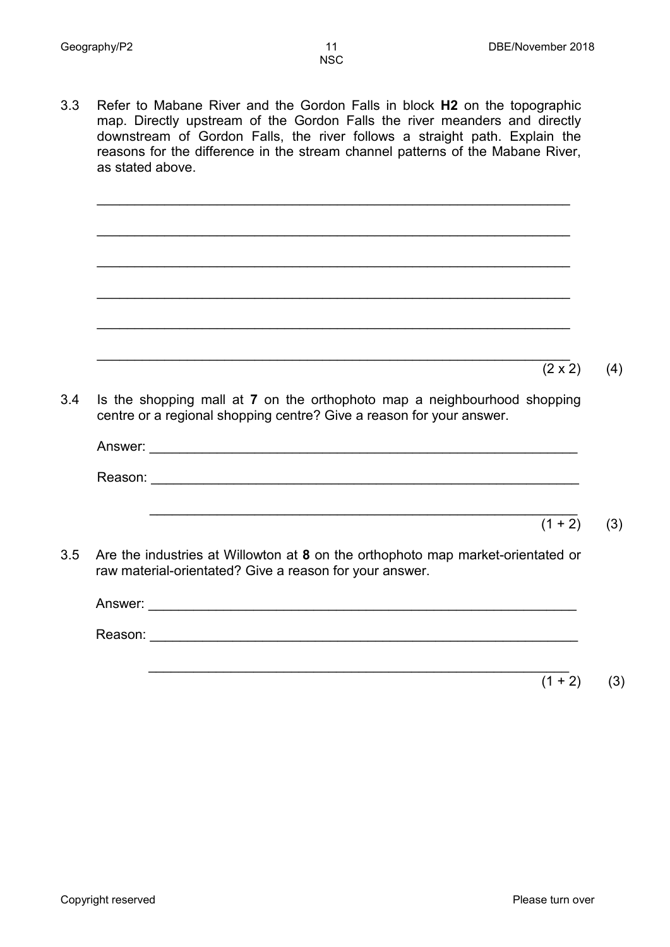3.3 Refer to Mabane River and the Gordon Falls in block **H2** on the topographic map. Directly upstream of the Gordon Falls the river meanders and directly downstream of Gordon Falls, the river follows a straight path. Explain the reasons for the difference in the stream channel patterns of the Mabane River, as stated above.

\_\_\_\_\_\_\_\_\_\_\_\_\_\_\_\_\_\_\_\_\_\_\_\_\_\_\_\_\_\_\_\_\_\_\_\_\_\_\_\_\_\_\_\_\_\_\_\_\_\_\_\_\_\_\_\_\_\_\_\_\_\_\_

\_\_\_\_\_\_\_\_\_\_\_\_\_\_\_\_\_\_\_\_\_\_\_\_\_\_\_\_\_\_\_\_\_\_\_\_\_\_\_\_\_\_\_\_\_\_\_\_\_\_\_\_\_\_\_\_\_\_\_\_\_\_\_

\_\_\_\_\_\_\_\_\_\_\_\_\_\_\_\_\_\_\_\_\_\_\_\_\_\_\_\_\_\_\_\_\_\_\_\_\_\_\_\_\_\_\_\_\_\_\_\_\_\_\_\_\_\_\_\_\_\_\_\_\_\_\_

\_\_\_\_\_\_\_\_\_\_\_\_\_\_\_\_\_\_\_\_\_\_\_\_\_\_\_\_\_\_\_\_\_\_\_\_\_\_\_\_\_\_\_\_\_\_\_\_\_\_\_\_\_\_\_\_\_\_\_\_\_\_\_

\_\_\_\_\_\_\_\_\_\_\_\_\_\_\_\_\_\_\_\_\_\_\_\_\_\_\_\_\_\_\_\_\_\_\_\_\_\_\_\_\_\_\_\_\_\_\_\_\_\_\_\_\_\_\_\_\_\_\_\_\_\_\_

\_\_\_\_\_\_\_\_\_\_\_\_\_\_\_\_\_\_\_\_\_\_\_\_\_\_\_\_\_\_\_\_\_\_\_\_\_\_\_\_\_\_\_\_\_\_\_\_\_\_\_\_\_\_\_\_\_\_\_\_\_\_\_

 $(2 \times 2)$  (4) 3.4 Is the shopping mall at **7** on the orthophoto map a neighbourhood shopping centre or a regional shopping centre? Give a reason for your answer.

Answer: Reason: \_\_\_\_\_\_\_\_\_\_\_\_\_\_\_\_\_\_\_\_\_\_\_\_\_\_\_\_\_\_\_\_\_\_\_\_\_\_\_\_\_\_\_\_\_\_\_\_\_\_\_\_\_\_\_\_\_ \_\_\_\_\_\_\_\_\_\_\_\_\_\_\_\_\_\_\_\_\_\_\_\_\_\_\_\_\_\_\_\_\_\_\_\_\_\_\_\_\_\_\_\_\_\_\_\_\_\_\_\_\_\_\_\_\_  $(1 + 2)$  (3) 3.5 Are the industries at Willowton at **8** on the orthophoto map market-orientated or raw material-orientated? Give a reason for your answer. Answer: \_\_\_\_\_\_\_\_\_\_\_\_\_\_\_\_\_\_\_\_\_\_\_\_\_\_\_\_\_\_\_\_\_\_\_\_\_\_\_\_\_\_\_\_\_\_\_\_\_\_\_\_\_\_\_\_\_ Reason: \_\_\_\_\_\_\_\_\_\_\_\_\_\_\_\_\_\_\_\_\_\_\_\_\_\_\_\_\_\_\_\_\_\_\_\_\_\_\_\_\_\_\_\_\_\_\_\_\_\_\_\_\_\_\_\_\_

 $\overline{\phantom{a}}$  ,  $\overline{\phantom{a}}$  ,  $\overline{\phantom{a}}$  ,  $\overline{\phantom{a}}$  ,  $\overline{\phantom{a}}$  ,  $\overline{\phantom{a}}$  ,  $\overline{\phantom{a}}$  ,  $\overline{\phantom{a}}$  ,  $\overline{\phantom{a}}$  ,  $\overline{\phantom{a}}$  ,  $\overline{\phantom{a}}$  ,  $\overline{\phantom{a}}$  ,  $\overline{\phantom{a}}$  ,  $\overline{\phantom{a}}$  ,  $\overline{\phantom{a}}$  ,  $\overline{\phantom{a}}$  $(1 + 2)$  (3)

Copyright reserved **Please turn over the Copyright reserved** Please turn over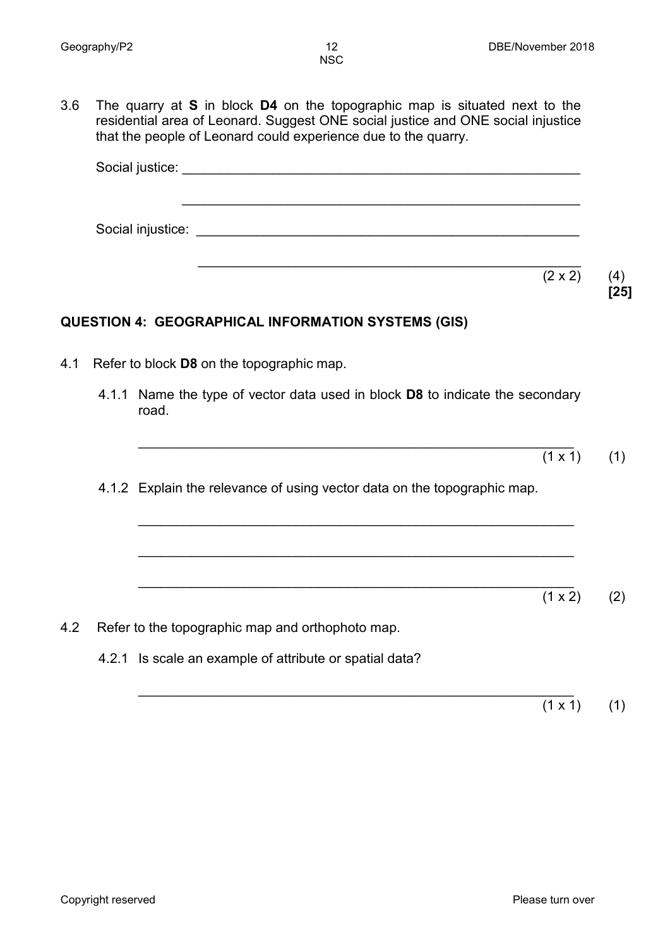3.6 The quarry at **S** in block **D4** on the topographic map is situated next to the residential area of Leonard. Suggest ONE social justice and ONE social injustice that the people of Leonard could experience due to the quarry.

Social justice: \_\_\_\_\_\_\_\_\_\_\_\_\_\_\_\_\_\_\_\_\_\_\_\_\_\_\_\_\_\_\_\_\_\_\_\_\_\_\_\_\_\_\_\_\_\_\_\_\_\_\_\_\_ \_\_\_\_\_\_\_\_\_\_\_\_\_\_\_\_\_\_\_\_\_\_\_\_\_\_\_\_\_\_\_\_\_\_\_\_\_\_\_\_\_\_\_\_\_\_\_\_\_\_\_\_\_ Social injustice: \_\_\_\_\_\_\_\_\_\_\_\_\_\_\_\_\_\_\_\_\_\_\_\_\_\_\_\_\_\_\_\_\_\_\_\_\_\_\_\_\_\_\_\_\_\_\_\_\_\_\_ \_\_\_\_\_\_\_\_\_\_\_\_\_\_\_\_\_\_\_\_\_\_\_\_\_\_\_\_\_\_\_\_\_\_\_\_\_\_\_\_\_\_\_\_\_\_\_\_\_\_\_  $(2 \times 2)$  (4) **[25] QUESTION 4: GEOGRAPHICAL INFORMATION SYSTEMS (GIS)** 4.1 Refer to block **D8** on the topographic map. 4.1.1 Name the type of vector data used in block **D8** to indicate the secondary road. \_\_\_\_\_\_\_\_\_\_\_\_\_\_\_\_\_\_\_\_\_\_\_\_\_\_\_\_\_\_\_\_\_\_\_\_\_\_\_\_\_\_\_\_\_\_\_\_\_\_\_\_\_\_\_\_\_\_  $(1 \times 1)$  (1) 4.1.2 Explain the relevance of using vector data on the topographic map. \_\_\_\_\_\_\_\_\_\_\_\_\_\_\_\_\_\_\_\_\_\_\_\_\_\_\_\_\_\_\_\_\_\_\_\_\_\_\_\_\_\_\_\_\_\_\_\_\_\_\_\_\_\_\_\_\_\_ \_\_\_\_\_\_\_\_\_\_\_\_\_\_\_\_\_\_\_\_\_\_\_\_\_\_\_\_\_\_\_\_\_\_\_\_\_\_\_\_\_\_\_\_\_\_\_\_\_\_\_\_\_\_\_\_\_\_ \_\_\_\_\_\_\_\_\_\_\_\_\_\_\_\_\_\_\_\_\_\_\_\_\_\_\_\_\_\_\_\_\_\_\_\_\_\_\_\_\_\_\_\_\_\_\_\_\_\_\_\_\_\_\_\_\_\_  $(1 \times 2)$  (2) 4.2 Refer to the topographic map and orthophoto map. 4.2.1 Is scale an example of attribute or spatial data?

\_\_\_\_\_\_\_\_\_\_\_\_\_\_\_\_\_\_\_\_\_\_\_\_\_\_\_\_\_\_\_\_\_\_\_\_\_\_\_\_\_\_\_\_\_\_\_\_\_\_\_\_\_\_\_\_\_\_  $(1 \times 1)$  (1)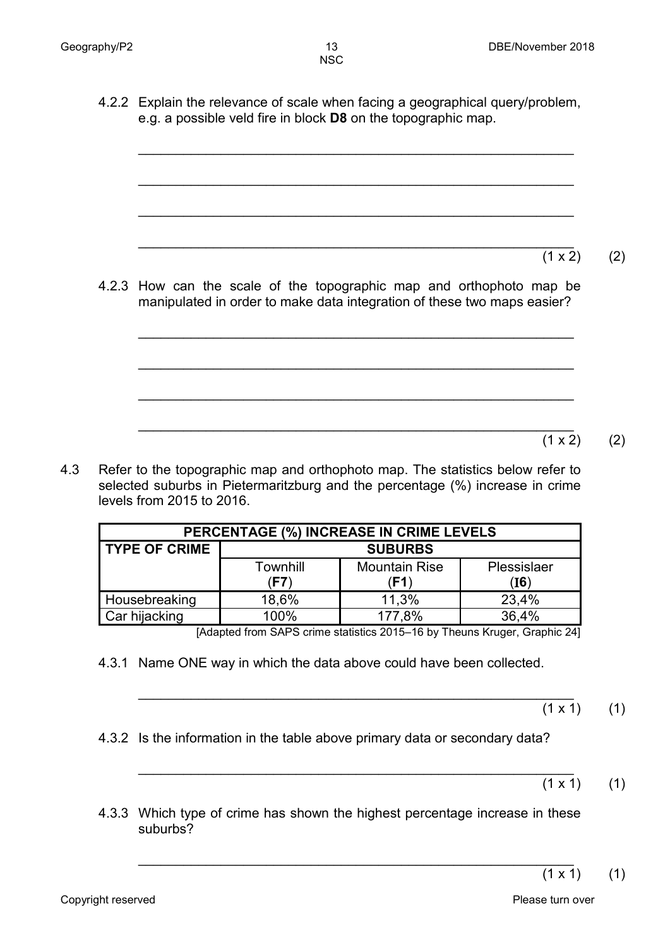4.2.2 Explain the relevance of scale when facing a geographical query/problem, e.g. a possible veld fire in block **D8** on the topographic map.

\_\_\_\_\_\_\_\_\_\_\_\_\_\_\_\_\_\_\_\_\_\_\_\_\_\_\_\_\_\_\_\_\_\_\_\_\_\_\_\_\_\_\_\_\_\_\_\_\_\_\_\_\_\_\_\_\_\_

\_\_\_\_\_\_\_\_\_\_\_\_\_\_\_\_\_\_\_\_\_\_\_\_\_\_\_\_\_\_\_\_\_\_\_\_\_\_\_\_\_\_\_\_\_\_\_\_\_\_\_\_\_\_\_\_\_\_

\_\_\_\_\_\_\_\_\_\_\_\_\_\_\_\_\_\_\_\_\_\_\_\_\_\_\_\_\_\_\_\_\_\_\_\_\_\_\_\_\_\_\_\_\_\_\_\_\_\_\_\_\_\_\_\_\_\_

\_\_\_\_\_\_\_\_\_\_\_\_\_\_\_\_\_\_\_\_\_\_\_\_\_\_\_\_\_\_\_\_\_\_\_\_\_\_\_\_\_\_\_\_\_\_\_\_\_\_\_\_\_\_\_\_\_\_  $(1 \times 2)$  (2)

4.2.3 How can the scale of the topographic map and orthophoto map be manipulated in order to make data integration of these two maps easier?

\_\_\_\_\_\_\_\_\_\_\_\_\_\_\_\_\_\_\_\_\_\_\_\_\_\_\_\_\_\_\_\_\_\_\_\_\_\_\_\_\_\_\_\_\_\_\_\_\_\_\_\_\_\_\_\_\_\_

\_\_\_\_\_\_\_\_\_\_\_\_\_\_\_\_\_\_\_\_\_\_\_\_\_\_\_\_\_\_\_\_\_\_\_\_\_\_\_\_\_\_\_\_\_\_\_\_\_\_\_\_\_\_\_\_\_\_

\_\_\_\_\_\_\_\_\_\_\_\_\_\_\_\_\_\_\_\_\_\_\_\_\_\_\_\_\_\_\_\_\_\_\_\_\_\_\_\_\_\_\_\_\_\_\_\_\_\_\_\_\_\_\_\_\_\_

- \_\_\_\_\_\_\_\_\_\_\_\_\_\_\_\_\_\_\_\_\_\_\_\_\_\_\_\_\_\_\_\_\_\_\_\_\_\_\_\_\_\_\_\_\_\_\_\_\_\_\_\_\_\_\_\_\_\_  $(1 \times 2)$  (2)
- 4.3 Refer to the topographic map and orthophoto map. The statistics below refer to selected suburbs in Pietermaritzburg and the percentage (%) increase in crime levels from 2015 to 2016.

| PERCENTAGE (%) INCREASE IN CRIME LEVELS |                  |                              |                     |  |  |  |  |  |
|-----------------------------------------|------------------|------------------------------|---------------------|--|--|--|--|--|
| <b>TYPE OF CRIME</b>                    | <b>SUBURBS</b>   |                              |                     |  |  |  |  |  |
|                                         | Townhill<br>(F7) | <b>Mountain Rise</b><br>(F1) | Plessislaer<br>(I6) |  |  |  |  |  |
| Housebreaking                           | 18,6%            | 11,3%                        | 23,4%               |  |  |  |  |  |
| Car hijacking                           | 100%             | 177,8%                       | 36,4%               |  |  |  |  |  |

[Adapted from SAPS crime statistics 2015–16 by Theuns Kruger, Graphic 24]

- 4.3.1 Name ONE way in which the data above could have been collected.
	- \_\_\_\_\_\_\_\_\_\_\_\_\_\_\_\_\_\_\_\_\_\_\_\_\_\_\_\_\_\_\_\_\_\_\_\_\_\_\_\_\_\_\_\_\_\_\_\_\_\_\_\_\_\_\_\_\_\_  $(1 \times 1)$  (1)
- 4.3.2 Is the information in the table above primary data or secondary data?
	- \_\_\_\_\_\_\_\_\_\_\_\_\_\_\_\_\_\_\_\_\_\_\_\_\_\_\_\_\_\_\_\_\_\_\_\_\_\_\_\_\_\_\_\_\_\_\_\_\_\_\_\_\_\_\_\_\_\_  $(1 \times 1)$  (1)
- 4.3.3 Which type of crime has shown the highest percentage increase in these suburbs?

\_\_\_\_\_\_\_\_\_\_\_\_\_\_\_\_\_\_\_\_\_\_\_\_\_\_\_\_\_\_\_\_\_\_\_\_\_\_\_\_\_\_\_\_\_\_\_\_\_\_\_\_\_\_\_\_\_\_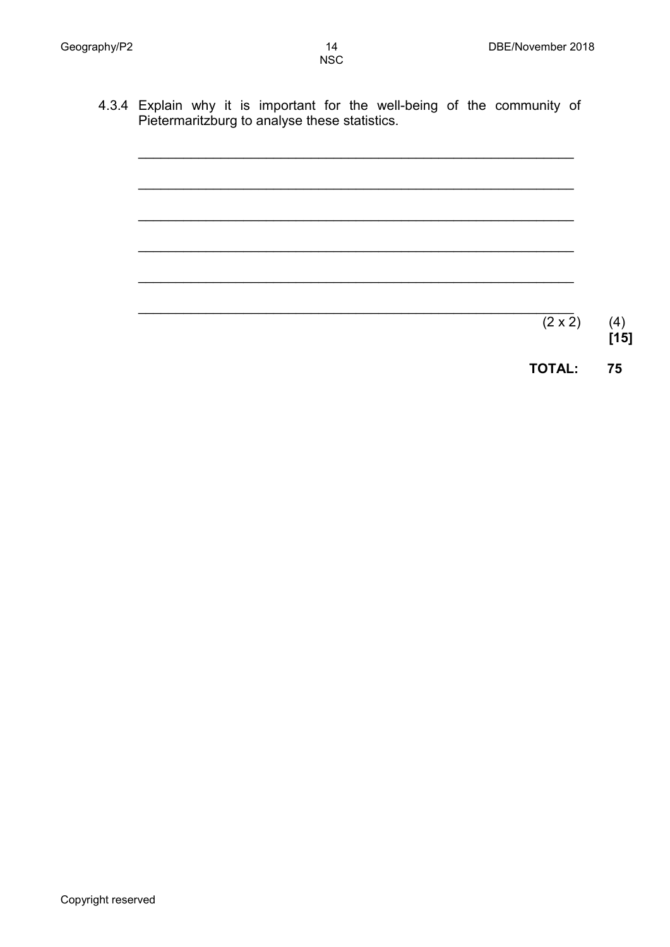4.3.4 Explain why it is important for the well-being of the community of Pietermaritzburg to analyse these statistics.



**TOTAL: 75**

**[15]**